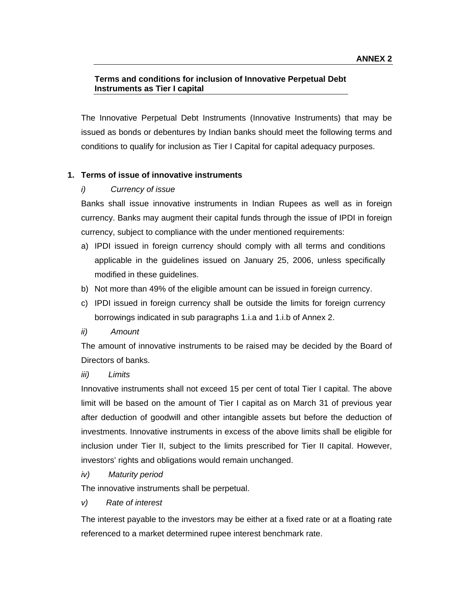# **Terms and conditions for inclusion of Innovative Perpetual Debt Instruments as Tier I capital**

The Innovative Perpetual Debt Instruments (Innovative Instruments) that may be issued as bonds or debentures by Indian banks should meet the following terms and conditions to qualify for inclusion as Tier I Capital for capital adequacy purposes.

# **1. Terms of issue of innovative instruments**

# *i) Currency of issue*

Banks shall issue innovative instruments in Indian Rupees as well as in foreign currency. Banks may augment their capital funds through the issue of IPDI in foreign currency, subject to compliance with the under mentioned requirements:

- a) IPDI issued in foreign currency should comply with all terms and conditions applicable in the guidelines issued on January 25, 2006, unless specifically modified in these guidelines.
- b) Not more than 49% of the eligible amount can be issued in foreign currency.
- c) IPDI issued in foreign currency shall be outside the limits for foreign currency borrowings indicated in sub paragraphs 1.i.a and 1.i.b of Annex 2.
- *ii) Amount*

The amount of innovative instruments to be raised may be decided by the Board of Directors of banks.

## *iii) Limits*

Innovative instruments shall not exceed 15 per cent of total Tier I capital. The above limit will be based on the amount of Tier I capital as on March 31 of previous year after deduction of goodwill and other intangible assets but before the deduction of investments. Innovative instruments in excess of the above limits shall be eligible for inclusion under Tier II, subject to the limits prescribed for Tier II capital. However, investors' rights and obligations would remain unchanged.

*iv) Maturity period* 

The innovative instruments shall be perpetual.

*v) Rate of interest* 

The interest payable to the investors may be either at a fixed rate or at a floating rate referenced to a market determined rupee interest benchmark rate.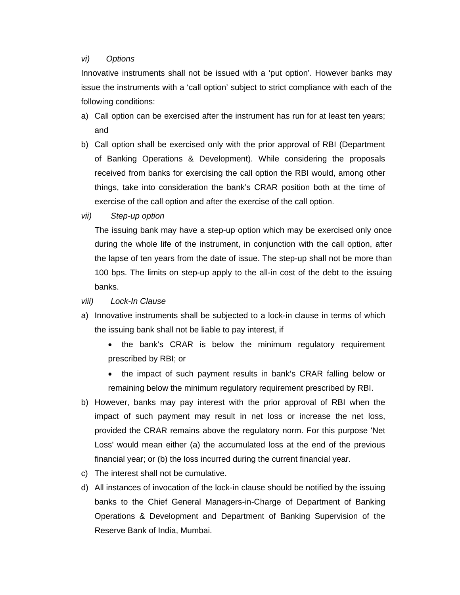#### *vi) Options*

Innovative instruments shall not be issued with a 'put option'. However banks may issue the instruments with a 'call option' subject to strict compliance with each of the following conditions:

- a) Call option can be exercised after the instrument has run for at least ten years; and
- b) Call option shall be exercised only with the prior approval of RBI (Department of Banking Operations & Development). While considering the proposals received from banks for exercising the call option the RBI would, among other things, take into consideration the bank's CRAR position both at the time of exercise of the call option and after the exercise of the call option.
- *vii) Step-up option*

The issuing bank may have a step-up option which may be exercised only once during the whole life of the instrument, in conjunction with the call option, after the lapse of ten years from the date of issue. The step-up shall not be more than 100 bps. The limits on step-up apply to the all-in cost of the debt to the issuing banks.

#### *viii) Lock-In Clause*

- a) Innovative instruments shall be subjected to a lock-in clause in terms of which the issuing bank shall not be liable to pay interest, if
	- the bank's CRAR is below the minimum regulatory requirement prescribed by RBI; or
	- the impact of such payment results in bank's CRAR falling below or remaining below the minimum regulatory requirement prescribed by RBI.
- b) However, banks may pay interest with the prior approval of RBI when the impact of such payment may result in net loss or increase the net loss, provided the CRAR remains above the regulatory norm. For this purpose 'Net Loss' would mean either (a) the accumulated loss at the end of the previous financial year; or (b) the loss incurred during the current financial year.
- c) The interest shall not be cumulative.
- d) All instances of invocation of the lock-in clause should be notified by the issuing banks to the Chief General Managers-in-Charge of Department of Banking Operations & Development and Department of Banking Supervision of the Reserve Bank of India, Mumbai.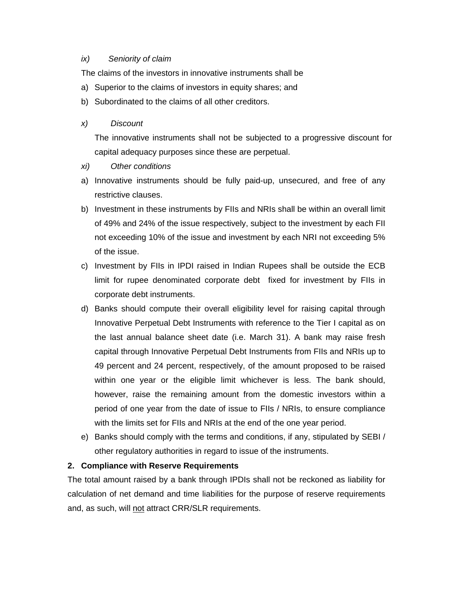#### *ix) Seniority of claim*

The claims of the investors in innovative instruments shall be

- a) Superior to the claims of investors in equity shares; and
- b) Subordinated to the claims of all other creditors.

## *x) Discount*

The innovative instruments shall not be subjected to a progressive discount for capital adequacy purposes since these are perpetual.

- *xi) Other conditions*
- a) Innovative instruments should be fully paid-up, unsecured, and free of any restrictive clauses.
- b) Investment in these instruments by FIIs and NRIs shall be within an overall limit of 49% and 24% of the issue respectively, subject to the investment by each FII not exceeding 10% of the issue and investment by each NRI not exceeding 5% of the issue.
- c) Investment by FIIs in IPDI raised in Indian Rupees shall be outside the ECB limit for rupee denominated corporate debt fixed for investment by FIIs in corporate debt instruments.
- d) Banks should compute their overall eligibility level for raising capital through Innovative Perpetual Debt Instruments with reference to the Tier I capital as on the last annual balance sheet date (i.e. March 31). A bank may raise fresh capital through Innovative Perpetual Debt Instruments from FIIs and NRIs up to 49 percent and 24 percent, respectively, of the amount proposed to be raised within one year or the eligible limit whichever is less. The bank should, however, raise the remaining amount from the domestic investors within a period of one year from the date of issue to FIIs / NRIs, to ensure compliance with the limits set for FIIs and NRIs at the end of the one year period.
- e) Banks should comply with the terms and conditions, if any, stipulated by SEBI / other regulatory authorities in regard to issue of the instruments.

## **2. Compliance with Reserve Requirements**

The total amount raised by a bank through IPDIs shall not be reckoned as liability for calculation of net demand and time liabilities for the purpose of reserve requirements and, as such, will not attract CRR/SLR requirements.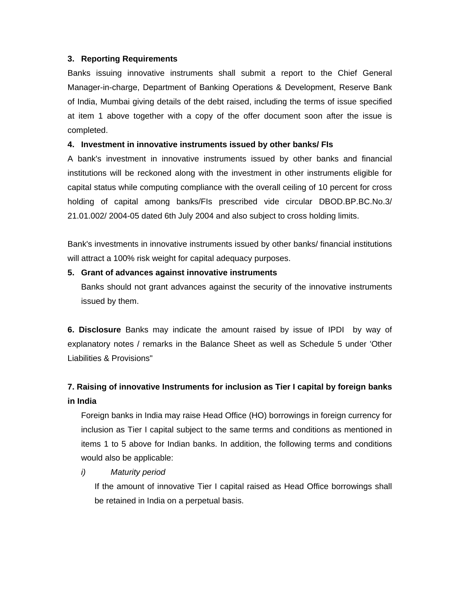### **3. Reporting Requirements**

Banks issuing innovative instruments shall submit a report to the Chief General Manager-in-charge, Department of Banking Operations & Development, Reserve Bank of India, Mumbai giving details of the debt raised, including the terms of issue specified at item 1 above together with a copy of the offer document soon after the issue is completed.

## **4. Investment in innovative instruments issued by other banks/ FIs**

A bank's investment in innovative instruments issued by other banks and financial institutions will be reckoned along with the investment in other instruments eligible for capital status while computing compliance with the overall ceiling of 10 percent for cross holding of capital among banks/FIs prescribed vide circular DBOD.BP.BC.No.3/ 21.01.002/ 2004-05 dated 6th July 2004 and also subject to cross holding limits.

Bank's investments in innovative instruments issued by other banks/ financial institutions will attract a 100% risk weight for capital adequacy purposes.

### **5. Grant of advances against innovative instruments**

Banks should not grant advances against the security of the innovative instruments issued by them.

**6. Disclosure** Banks may indicate the amount raised by issue of IPDI by way of explanatory notes / remarks in the Balance Sheet as well as Schedule 5 under 'Other Liabilities & Provisions"

# **7. Raising of innovative Instruments for inclusion as Tier I capital by foreign banks in India**

Foreign banks in India may raise Head Office (HO) borrowings in foreign currency for inclusion as Tier I capital subject to the same terms and conditions as mentioned in items 1 to 5 above for Indian banks. In addition, the following terms and conditions would also be applicable:

## *i) Maturity period*

If the amount of innovative Tier I capital raised as Head Office borrowings shall be retained in India on a perpetual basis.